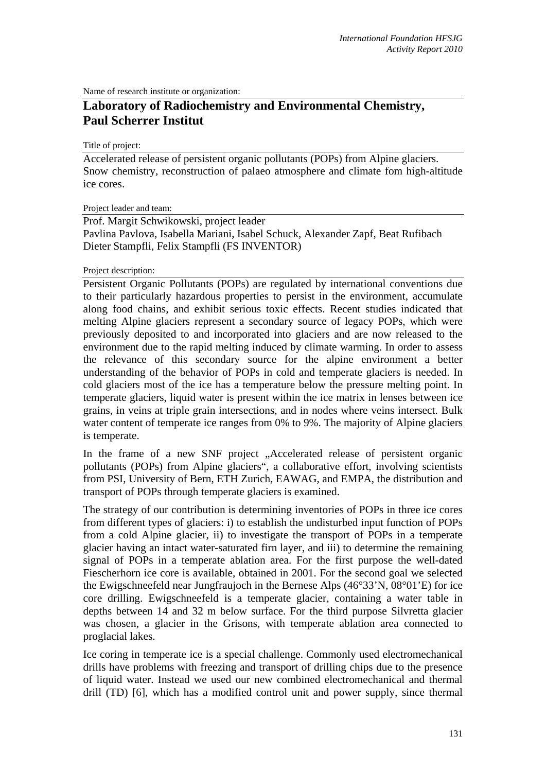Name of research institute or organization:

## **Laboratory of Radiochemistry and Environmental Chemistry, Paul Scherrer Institut**

Title of project:

Accelerated release of persistent organic pollutants (POPs) from Alpine glaciers. Snow chemistry, reconstruction of palaeo atmosphere and climate fom high-altitude ice cores.

Project leader and team:

Prof. Margit Schwikowski, project leader Pavlina Pavlova, Isabella Mariani, Isabel Schuck, Alexander Zapf, Beat Rufibach Dieter Stampfli, Felix Stampfli (FS INVENTOR)

Project description:

Persistent Organic Pollutants (POPs) are regulated by international conventions due to their particularly hazardous properties to persist in the environment, accumulate along food chains, and exhibit serious toxic effects. Recent studies indicated that melting Alpine glaciers represent a secondary source of legacy POPs, which were previously deposited to and incorporated into glaciers and are now released to the environment due to the rapid melting induced by climate warming. In order to assess the relevance of this secondary source for the alpine environment a better understanding of the behavior of POPs in cold and temperate glaciers is needed. In cold glaciers most of the ice has a temperature below the pressure melting point. In temperate glaciers, liquid water is present within the ice matrix in lenses between ice grains, in veins at triple grain intersections, and in nodes where veins intersect. Bulk water content of temperate ice ranges from 0% to 9%. The majority of Alpine glaciers is temperate.

In the frame of a new SNF project "Accelerated release of persistent organic pollutants (POPs) from Alpine glaciers", a collaborative effort, involving scientists from PSI, University of Bern, ETH Zurich, EAWAG, and EMPA, the distribution and transport of POPs through temperate glaciers is examined.

The strategy of our contribution is determining inventories of POPs in three ice cores from different types of glaciers: i) to establish the undisturbed input function of POPs from a cold Alpine glacier, ii) to investigate the transport of POPs in a temperate glacier having an intact water-saturated firn layer, and iii) to determine the remaining signal of POPs in a temperate ablation area. For the first purpose the well-dated Fiescherhorn ice core is available, obtained in 2001. For the second goal we selected the Ewigschneefeld near Jungfraujoch in the Bernese Alps (46°33'N, 08°01'E) for ice core drilling. Ewigschneefeld is a temperate glacier, containing a water table in depths between 14 and 32 m below surface. For the third purpose Silvretta glacier was chosen, a glacier in the Grisons, with temperate ablation area connected to proglacial lakes.

Ice coring in temperate ice is a special challenge. Commonly used electromechanical drills have problems with freezing and transport of drilling chips due to the presence of liquid water. Instead we used our new combined electromechanical and thermal drill (TD) [6], which has a modified control unit and power supply, since thermal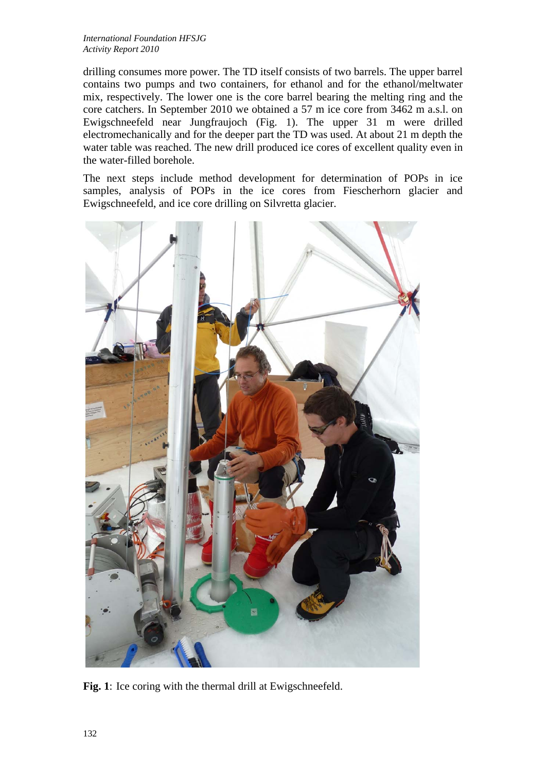drilling consumes more power. The TD itself consists of two barrels. The upper barrel contains two pumps and two containers, for ethanol and for the ethanol/meltwater mix, respectively. The lower one is the core barrel bearing the melting ring and the core catchers. In September 2010 we obtained a 57 m ice core from 3462 m a.s.l. on Ewigschneefeld near Jungfraujoch (Fig. 1). The upper 31 m were drilled electromechanically and for the deeper part the TD was used. At about 21 m depth the water table was reached. The new drill produced ice cores of excellent quality even in the water-filled borehole.

The next steps include method development for determination of POPs in ice samples, analysis of POPs in the ice cores from Fiescherhorn glacier and Ewigschneefeld, and ice core drilling on Silvretta glacier.



Fig. 1: Ice coring with the thermal drill at Ewigschneefeld.